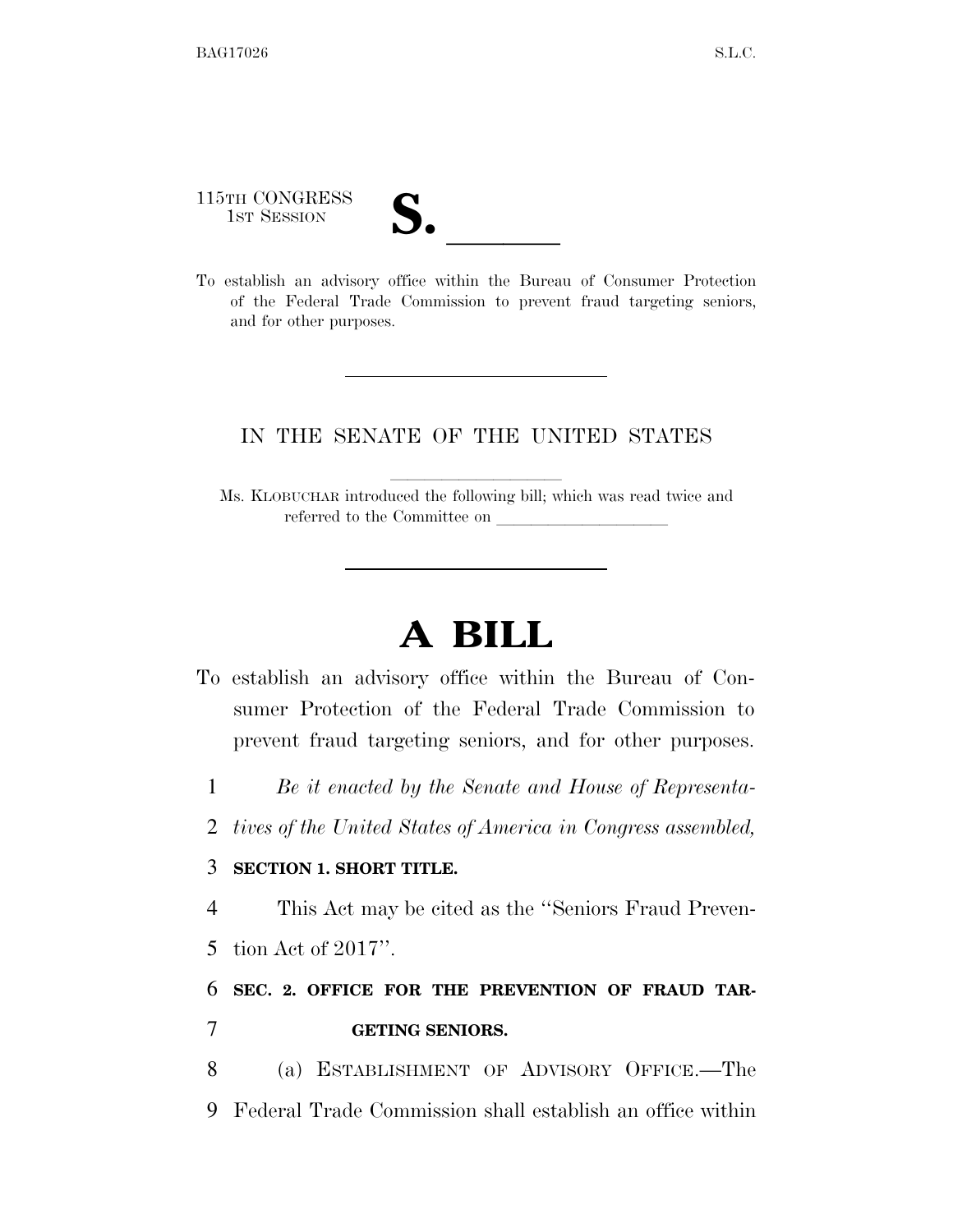115TH CONGRESS

115TH CONGRESS<br>
1ST SESSION<br>
To establish an advisory office within the Bureau of Consumer Protection of the Federal Trade Commission to prevent fraud targeting seniors, and for other purposes.

## IN THE SENATE OF THE UNITED STATES

Ms. KLOBUCHAR introduced the following bill; which was read twice and referred to the Committee on

## **A BILL**

- To establish an advisory office within the Bureau of Consumer Protection of the Federal Trade Commission to prevent fraud targeting seniors, and for other purposes.
	- 1 *Be it enacted by the Senate and House of Representa-*
	- 2 *tives of the United States of America in Congress assembled,*

## 3 **SECTION 1. SHORT TITLE.**

4 This Act may be cited as the ''Seniors Fraud Preven-

5 tion Act of 2017''.

## 6 **SEC. 2. OFFICE FOR THE PREVENTION OF FRAUD TAR-**7 **GETING SENIORS.**

8 (a) ESTABLISHMENT OF ADVISORY OFFICE.—The 9 Federal Trade Commission shall establish an office within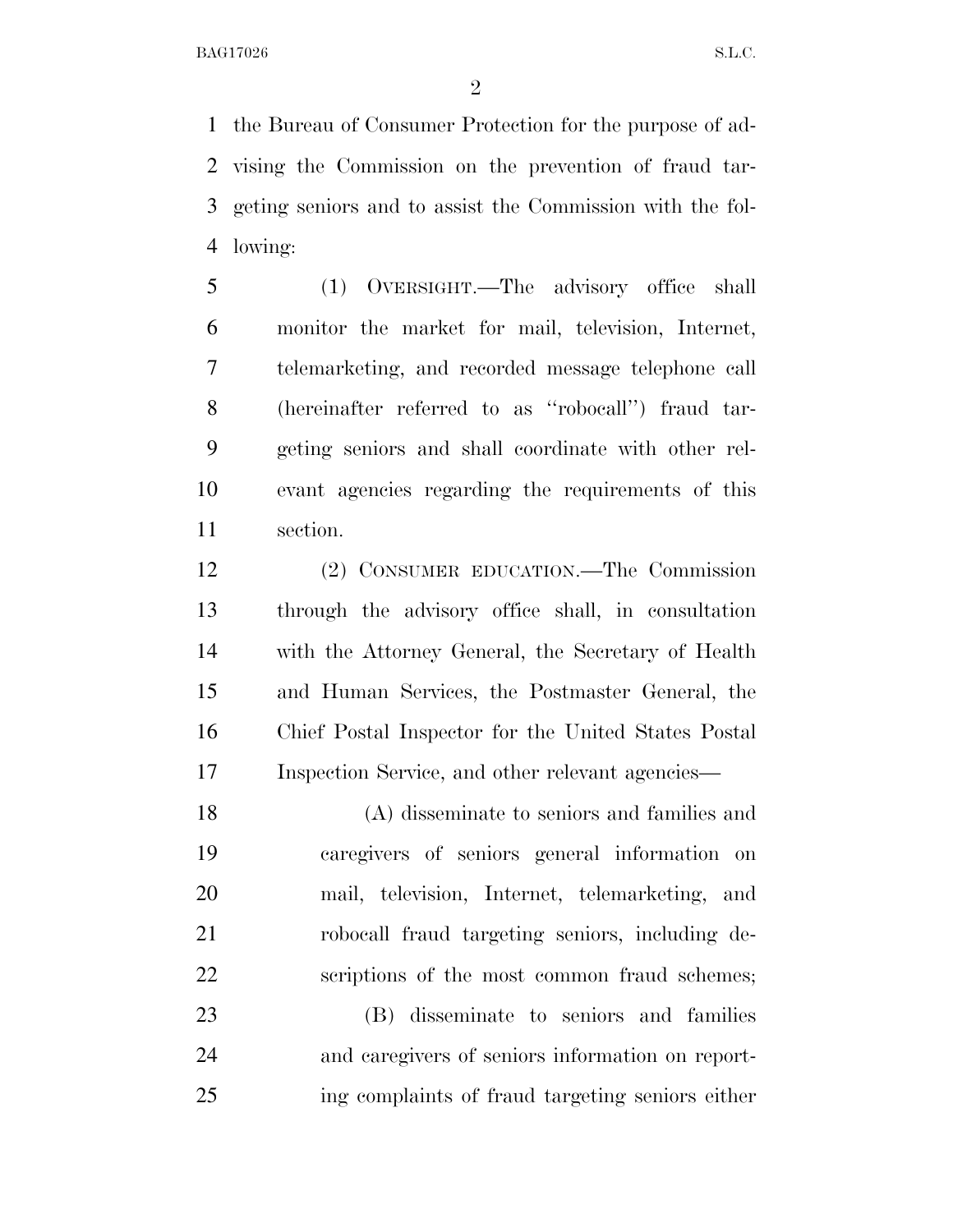the Bureau of Consumer Protection for the purpose of ad- vising the Commission on the prevention of fraud tar- geting seniors and to assist the Commission with the fol-lowing:

 (1) OVERSIGHT.—The advisory office shall monitor the market for mail, television, Internet, telemarketing, and recorded message telephone call (hereinafter referred to as ''robocall'') fraud tar- geting seniors and shall coordinate with other rel- evant agencies regarding the requirements of this section.

 (2) CONSUMER EDUCATION.—The Commission through the advisory office shall, in consultation with the Attorney General, the Secretary of Health and Human Services, the Postmaster General, the Chief Postal Inspector for the United States Postal Inspection Service, and other relevant agencies—

 (A) disseminate to seniors and families and caregivers of seniors general information on mail, television, Internet, telemarketing, and robocall fraud targeting seniors, including de-scriptions of the most common fraud schemes;

 (B) disseminate to seniors and families and caregivers of seniors information on report-ing complaints of fraud targeting seniors either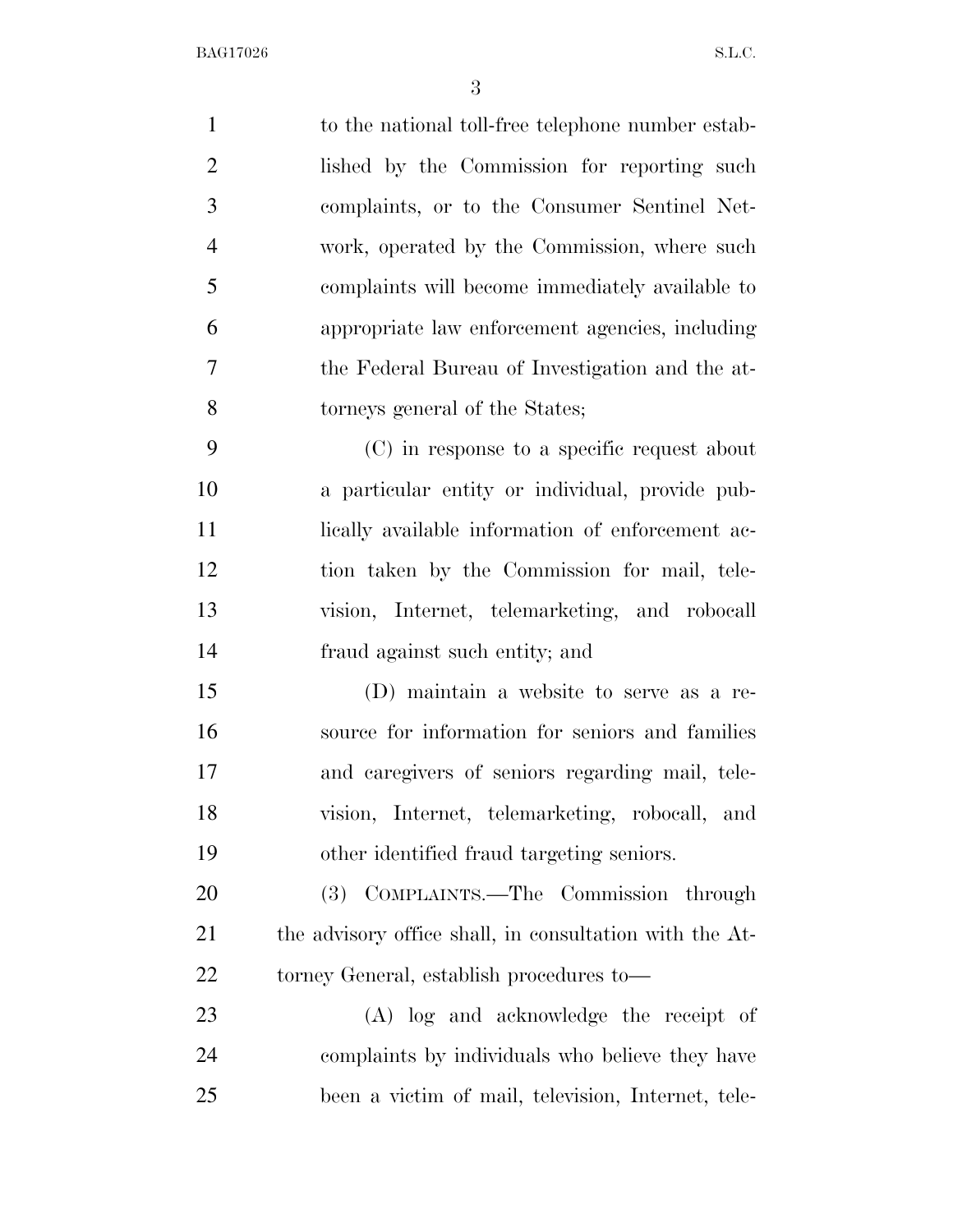| $\mathbf{1}$   | to the national toll-free telephone number estab-       |
|----------------|---------------------------------------------------------|
| $\overline{2}$ | lished by the Commission for reporting such             |
| 3              | complaints, or to the Consumer Sentinel Net-            |
| $\overline{4}$ | work, operated by the Commission, where such            |
| 5              | complaints will become immediately available to         |
| 6              | appropriate law enforcement agencies, including         |
| $\overline{7}$ | the Federal Bureau of Investigation and the at-         |
| 8              | torneys general of the States;                          |
| 9              | (C) in response to a specific request about             |
| 10             | a particular entity or individual, provide pub-         |
| 11             | lically available information of enforcement ac-        |
| 12             | tion taken by the Commission for mail, tele-            |
| 13             | vision, Internet, telemarketing, and robocall           |
| 14             | fraud against such entity; and                          |
| 15             | (D) maintain a website to serve as a re-                |
| 16             | source for information for seniors and families         |
| 17             | and caregivers of seniors regarding mail, tele-         |
| 18             | vision, Internet, telemarketing, robocall, and          |
| 19             | other identified fraud targeting seniors.               |
| 20             | (3) COMPLAINTS.—The Commission through                  |
| 21             | the advisory office shall, in consultation with the At- |
| 22             | torney General, establish procedures to—                |
| 23             | (A) log and acknowledge the receipt of                  |
| 24             | complaints by individuals who believe they have         |
| 25             | been a victim of mail, television, Internet, tele-      |